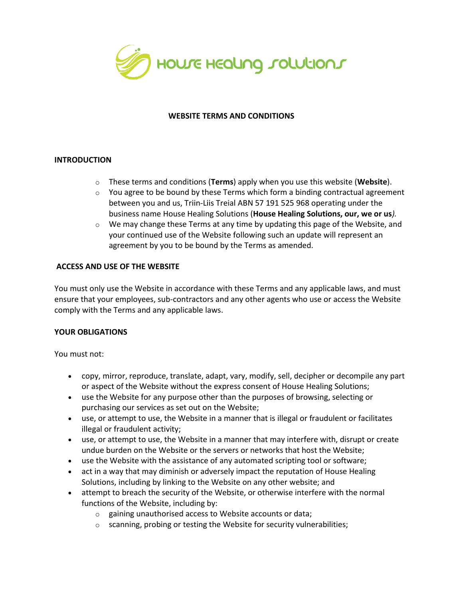

## **WEBSITE TERMS AND CONDITIONS**

## **INTRODUCTION**

- o These terms and conditions (**Terms**) apply when you use this website (**Website**).
- $\circ$  You agree to be bound by these Terms which form a binding contractual agreement between you and us, Triin-Liis Treial ABN 57 191 525 968 operating under the business name House Healing Solutions (**House Healing Solutions, our, we or us***).*
- $\circ$  We may change these Terms at any time by updating this page of the Website, and your continued use of the Website following such an update will represent an agreement by you to be bound by the Terms as amended.

## **ACCESS AND USE OF THE WEBSITE**

You must only use the Website in accordance with these Terms and any applicable laws, and must ensure that your employees, sub-contractors and any other agents who use or access the Website comply with the Terms and any applicable laws.

### **YOUR OBLIGATIONS**

You must not:

- copy, mirror, reproduce, translate, adapt, vary, modify, sell, decipher or decompile any part or aspect of the Website without the express consent of House Healing Solutions;
- use the Website for any purpose other than the purposes of browsing, selecting or purchasing our services as set out on the Website;
- use, or attempt to use, the Website in a manner that is illegal or fraudulent or facilitates illegal or fraudulent activity;
- use, or attempt to use, the Website in a manner that may interfere with, disrupt or create undue burden on the Website or the servers or networks that host the Website;
- use the Website with the assistance of any automated scripting tool or software;
- act in a way that may diminish or adversely impact the reputation of House Healing Solutions, including by linking to the Website on any other website; and
- attempt to breach the security of the Website, or otherwise interfere with the normal functions of the Website, including by:
	- o gaining unauthorised access to Website accounts or data;
	- $\circ$  scanning, probing or testing the Website for security vulnerabilities;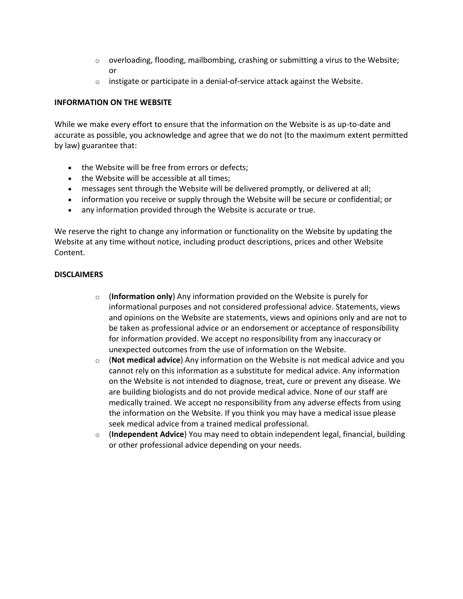- $\circ$  overloading, flooding, mailbombing, crashing or submitting a virus to the Website; or
- $\circ$  instigate or participate in a denial-of-service attack against the Website.

# **INFORMATION ON THE WEBSITE**

While we make every effort to ensure that the information on the Website is as up-to-date and accurate as possible, you acknowledge and agree that we do not (to the maximum extent permitted by law) guarantee that:

- the Website will be free from errors or defects;
- the Website will be accessible at all times;
- messages sent through the Website will be delivered promptly, or delivered at all;
- information you receive or supply through the Website will be secure or confidential; or
- any information provided through the Website is accurate or true.

We reserve the right to change any information or functionality on the Website by updating the Website at any time without notice, including product descriptions, prices and other Website Content.

# **DISCLAIMERS**

- o (**Information only**) Any information provided on the Website is purely for informational purposes and not considered professional advice. Statements, views and opinions on the Website are statements, views and opinions only and are not to be taken as professional advice or an endorsement or acceptance of responsibility for information provided. We accept no responsibility from any inaccuracy or unexpected outcomes from the use of information on the Website.
- o (**Not medical advice**) Any information on the Website is not medical advice and you cannot rely on this information as a substitute for medical advice. Any information on the Website is not intended to diagnose, treat, cure or prevent any disease. We are building biologists and do not provide medical advice. None of our staff are medically trained. We accept no responsibility from any adverse effects from using the information on the Website. If you think you may have a medical issue please seek medical advice from a trained medical professional.
- o (**Independent Advice**) You may need to obtain independent legal, financial, building or other professional advice depending on your needs.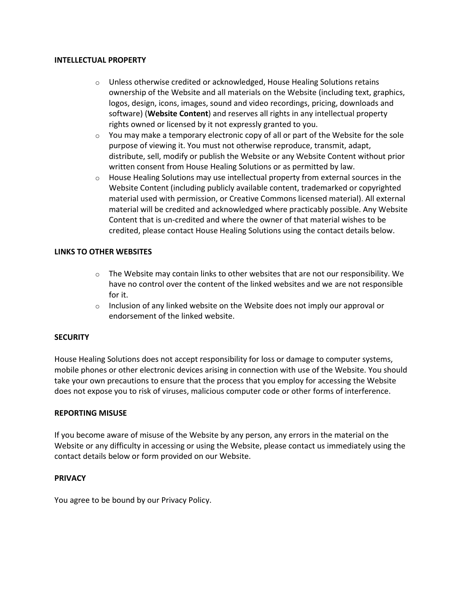#### **INTELLECTUAL PROPERTY**

- $\circ$  Unless otherwise credited or acknowledged, House Healing Solutions retains ownership of the Website and all materials on the Website (including text, graphics, logos, design, icons, images, sound and video recordings, pricing, downloads and software) (**Website Content**) and reserves all rights in any intellectual property rights owned or licensed by it not expressly granted to you.
- $\circ$  You may make a temporary electronic copy of all or part of the Website for the sole purpose of viewing it. You must not otherwise reproduce, transmit, adapt, distribute, sell, modify or publish the Website or any Website Content without prior written consent from House Healing Solutions or as permitted by law.
- $\circ$  House Healing Solutions may use intellectual property from external sources in the Website Content (including publicly available content, trademarked or copyrighted material used with permission, or Creative Commons licensed material). All external material will be credited and acknowledged where practicably possible. Any Website Content that is un-credited and where the owner of that material wishes to be credited, please contact House Healing Solutions using the contact details below.

### **LINKS TO OTHER WEBSITES**

- $\circ$  The Website may contain links to other websites that are not our responsibility. We have no control over the content of the linked websites and we are not responsible for it.
- $\circ$  Inclusion of any linked website on the Website does not imply our approval or endorsement of the linked website.

### **SECURITY**

House Healing Solutions does not accept responsibility for loss or damage to computer systems, mobile phones or other electronic devices arising in connection with use of the Website. You should take your own precautions to ensure that the process that you employ for accessing the Website does not expose you to risk of viruses, malicious computer code or other forms of interference.

### **REPORTING MISUSE**

If you become aware of misuse of the Website by any person, any errors in the material on the Website or any difficulty in accessing or using the Website, please contact us immediately using the contact details below or form provided on our Website.

### **PRIVACY**

You agree to be bound by our Privacy Policy.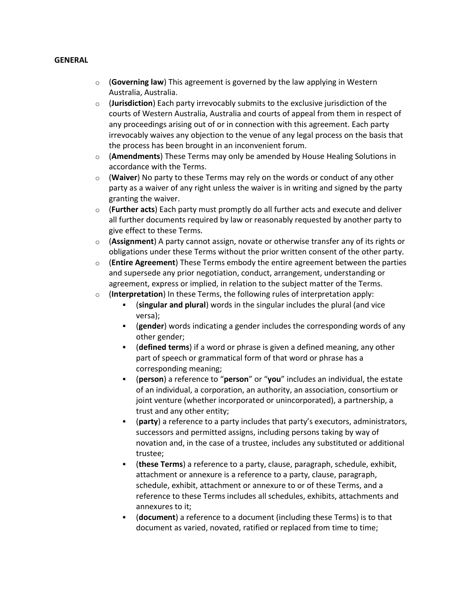### **GENERAL**

- o (**Governing law**) This agreement is governed by the law applying in Western Australia, Australia.
- o (**Jurisdiction**) Each party irrevocably submits to the exclusive jurisdiction of the courts of Western Australia, Australia and courts of appeal from them in respect of any proceedings arising out of or in connection with this agreement. Each party irrevocably waives any objection to the venue of any legal process on the basis that the process has been brought in an inconvenient forum.
- o (**Amendments**) These Terms may only be amended by House Healing Solutions in accordance with the Terms.
- o (**Waiver**) No party to these Terms may rely on the words or conduct of any other party as a waiver of any right unless the waiver is in writing and signed by the party granting the waiver.
- o (**Further acts**) Each party must promptly do all further acts and execute and deliver all further documents required by law or reasonably requested by another party to give effect to these Terms.
- o (**Assignment**) A party cannot assign, novate or otherwise transfer any of its rights or obligations under these Terms without the prior written consent of the other party.
- o (**Entire Agreement**) These Terms embody the entire agreement between the parties and supersede any prior negotiation, conduct, arrangement, understanding or agreement, express or implied, in relation to the subject matter of the Terms.
- o (**Interpretation**) In these Terms, the following rules of interpretation apply:
	- (**singular and plural**) words in the singular includes the plural (and vice versa);
	- (**gender**) words indicating a gender includes the corresponding words of any other gender;
	- (**defined terms**) if a word or phrase is given a defined meaning, any other part of speech or grammatical form of that word or phrase has a corresponding meaning;
	- (**person**) a reference to "**person**" or "**you**" includes an individual, the estate of an individual, a corporation, an authority, an association, consortium or joint venture (whether incorporated or unincorporated), a partnership, a trust and any other entity;
	- (party) a reference to a party includes that party's executors, administrators, successors and permitted assigns, including persons taking by way of novation and, in the case of a trustee, includes any substituted or additional trustee;
	- (these Terms) a reference to a party, clause, paragraph, schedule, exhibit, attachment or annexure is a reference to a party, clause, paragraph, schedule, exhibit, attachment or annexure to or of these Terms, and a reference to these Terms includes all schedules, exhibits, attachments and annexures to it;
	- (**document**) a reference to a document (including these Terms) is to that document as varied, novated, ratified or replaced from time to time;